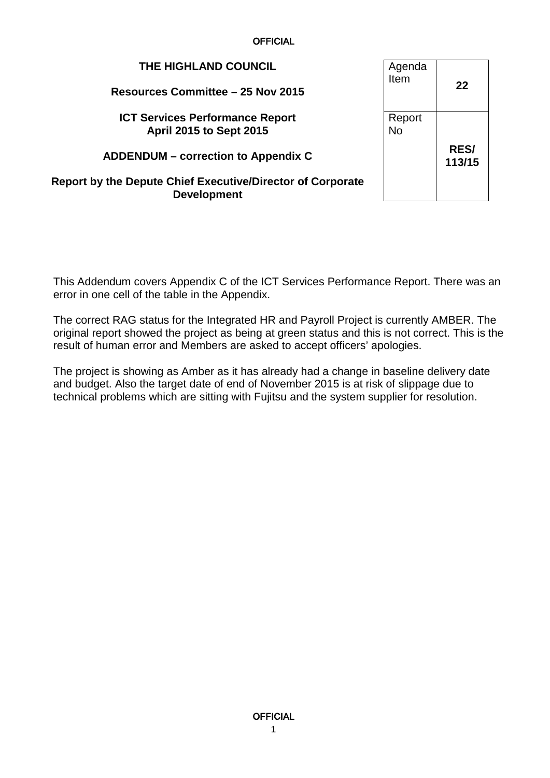**OFFICIAL** 

| THE HIGHLAND COUNCIL<br>Resources Committee - 25 Nov 2015                        | Agenda<br>Item      | 22                    |
|----------------------------------------------------------------------------------|---------------------|-----------------------|
| <b>ICT Services Performance Report</b><br><b>April 2015 to Sept 2015</b>         | Report<br><b>No</b> |                       |
| <b>ADDENDUM</b> – correction to Appendix C                                       |                     | <b>RES/</b><br>113/15 |
| Report by the Depute Chief Executive/Director of Corporate<br><b>Development</b> |                     |                       |

This Addendum covers Appendix C of the ICT Services Performance Report. There was an error in one cell of the table in the Appendix.

The correct RAG status for the Integrated HR and Payroll Project is currently AMBER. The original report showed the project as being at green status and this is not correct. This is the result of human error and Members are asked to accept officers' apologies.

The project is showing as Amber as it has already had a change in baseline delivery date and budget. Also the target date of end of November 2015 is at risk of slippage due to technical problems which are sitting with Fujitsu and the system supplier for resolution.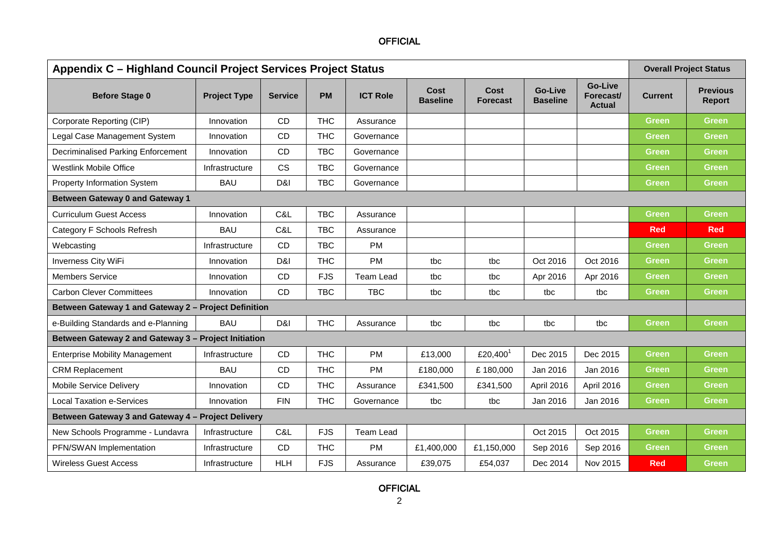## **OFFICIAL**

| Appendix C - Highland Council Project Services Project Status |                     |                |            |                  |                         |                         |                                   | <b>Overall Project Status</b>                |                |                                  |
|---------------------------------------------------------------|---------------------|----------------|------------|------------------|-------------------------|-------------------------|-----------------------------------|----------------------------------------------|----------------|----------------------------------|
| <b>Before Stage 0</b>                                         | <b>Project Type</b> | <b>Service</b> | <b>PM</b>  | <b>ICT Role</b>  | Cost<br><b>Baseline</b> | Cost<br><b>Forecast</b> | <b>Go-Live</b><br><b>Baseline</b> | <b>Go-Live</b><br>Forecast/<br><b>Actual</b> | <b>Current</b> | <b>Previous</b><br><b>Report</b> |
| Corporate Reporting (CIP)                                     | Innovation          | <b>CD</b>      | <b>THC</b> | Assurance        |                         |                         |                                   |                                              | <b>Green</b>   | Green                            |
| Legal Case Management System                                  | Innovation          | <b>CD</b>      | <b>THC</b> | Governance       |                         |                         |                                   |                                              | <b>Green</b>   | <b>Green</b>                     |
| <b>Decriminalised Parking Enforcement</b>                     | Innovation          | CD             | <b>TBC</b> | Governance       |                         |                         |                                   |                                              | <b>Green</b>   | Green                            |
| <b>Westlink Mobile Office</b>                                 | Infrastructure      | <b>CS</b>      | <b>TBC</b> | Governance       |                         |                         |                                   |                                              | <b>Green</b>   | <b>Green</b>                     |
| Property Information System                                   | <b>BAU</b>          | D&I            | <b>TBC</b> | Governance       |                         |                         |                                   |                                              | <b>Green</b>   | Green                            |
| <b>Between Gateway 0 and Gateway 1</b>                        |                     |                |            |                  |                         |                         |                                   |                                              |                |                                  |
| <b>Curriculum Guest Access</b>                                | Innovation          | C&L            | <b>TBC</b> | Assurance        |                         |                         |                                   |                                              | <b>Green</b>   | <b>Green</b>                     |
| Category F Schools Refresh                                    | <b>BAU</b>          | C&L            | <b>TBC</b> | Assurance        |                         |                         |                                   |                                              | <b>Red</b>     | <b>Red</b>                       |
| Webcasting                                                    | Infrastructure      | <b>CD</b>      | <b>TBC</b> | <b>PM</b>        |                         |                         |                                   |                                              | <b>Green</b>   | Green                            |
| <b>Inverness City WiFi</b>                                    | Innovation          | D&I            | <b>THC</b> | <b>PM</b>        | tbc                     | tbc                     | Oct 2016                          | Oct 2016                                     | <b>Green</b>   | <b>Green</b>                     |
| <b>Members Service</b>                                        | Innovation          | <b>CD</b>      | <b>FJS</b> | <b>Team Lead</b> | tbc                     | tbc                     | Apr 2016                          | Apr 2016                                     | Green          | Green                            |
| <b>Carbon Clever Committees</b>                               | Innovation          | <b>CD</b>      | <b>TBC</b> | <b>TBC</b>       | tbc                     | tbc                     | tbc                               | tbc                                          | <b>Green</b>   | Green                            |
| Between Gateway 1 and Gateway 2 - Project Definition          |                     |                |            |                  |                         |                         |                                   |                                              |                |                                  |
| e-Building Standards and e-Planning                           | <b>BAU</b>          | D&I            | <b>THC</b> | Assurance        | tbc                     | tbc                     | tbc                               | tbc                                          | <b>Green</b>   | <b>Green</b>                     |
| Between Gateway 2 and Gateway 3 - Project Initiation          |                     |                |            |                  |                         |                         |                                   |                                              |                |                                  |
| <b>Enterprise Mobility Management</b>                         | Infrastructure      | CD             | <b>THC</b> | <b>PM</b>        | £13,000                 | £20,400 <sup>1</sup>    | Dec 2015                          | Dec 2015                                     | <b>Green</b>   | Green                            |
| <b>CRM Replacement</b>                                        | <b>BAU</b>          | <b>CD</b>      | <b>THC</b> | <b>PM</b>        | £180,000                | £180,000                | Jan 2016                          | Jan 2016                                     | Green          | <b>Green</b>                     |
| Mobile Service Delivery                                       | Innovation          | <b>CD</b>      | <b>THC</b> | Assurance        | £341,500                | £341,500                | April 2016                        | April 2016                                   | <b>Green</b>   | Green                            |
| <b>Local Taxation e-Services</b>                              | Innovation          | <b>FIN</b>     | <b>THC</b> | Governance       | tbc                     | tbc                     | Jan 2016                          | Jan 2016                                     | <b>Green</b>   | Green                            |
| Between Gateway 3 and Gateway 4 - Project Delivery            |                     |                |            |                  |                         |                         |                                   |                                              |                |                                  |
| New Schools Programme - Lundavra                              | Infrastructure      | C&L            | <b>FJS</b> | <b>Team Lead</b> |                         |                         | Oct 2015                          | Oct 2015                                     | <b>Green</b>   | <b>Green</b>                     |
| PFN/SWAN Implementation                                       | Infrastructure      | <b>CD</b>      | <b>THC</b> | <b>PM</b>        | £1,400,000              | £1,150,000              | Sep 2016                          | Sep 2016                                     | <b>Green</b>   | Green                            |
| <b>Wireless Guest Access</b>                                  | Infrastructure      | <b>HLH</b>     | <b>FJS</b> | Assurance        | £39,075                 | £54,037                 | Dec 2014                          | Nov 2015                                     | <b>Red</b>     | Green                            |